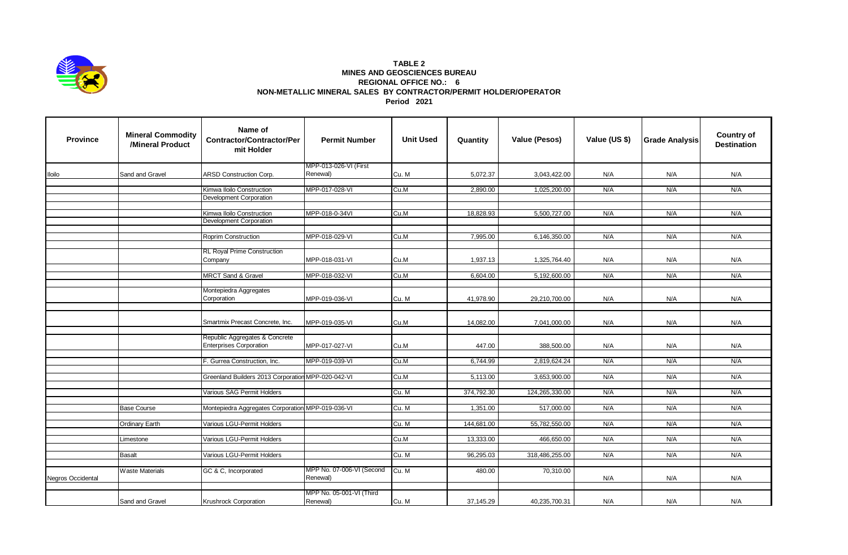

## **TABLE 2 MINES AND GEOSCIENCES BUREAU REGIONAL OFFICE NO.: 6 NON-METALLIC MINERAL SALES BY CONTRACTOR/PERMIT HOLDER/OPERATOR Period 2021**

| <b>Province</b>   | <b>Mineral Commodity</b><br>/Mineral Product | Name of<br><b>Contractor/Contractor/Per</b><br>mit Holder        | <b>Permit Number</b>              | <b>Unit Used</b> | Quantity   | Value (Pesos)  | Value (US \$) | <b>Grade Analysis</b> | <b>Country of</b><br><b>Destination</b> |
|-------------------|----------------------------------------------|------------------------------------------------------------------|-----------------------------------|------------------|------------|----------------|---------------|-----------------------|-----------------------------------------|
| lloilo            | Sand and Gravel                              | ARSD Construction Corp.                                          | MPP-013-026-VI (First<br>Renewal) | Cu. M            | 5,072.37   | 3,043,422.00   | N/A           | N/A                   | N/A                                     |
|                   |                                              |                                                                  |                                   |                  |            |                |               |                       |                                         |
|                   |                                              | Kimwa Iloilo Construction                                        | MPP-017-028-VI                    | Cu.M             | 2,890.00   | 1,025,200.00   | N/A           | N/A                   | N/A                                     |
|                   |                                              | <b>Development Corporation</b>                                   |                                   |                  |            |                |               |                       |                                         |
|                   |                                              | Kimwa Iloilo Construction                                        | MPP-018-0-34VI                    | Cu.M             | 18,828.93  | 5,500,727.00   | N/A           | N/A                   | N/A                                     |
|                   |                                              | Development Corporation                                          |                                   |                  |            |                |               |                       |                                         |
|                   |                                              |                                                                  |                                   |                  |            |                |               |                       |                                         |
|                   |                                              | Roprim Construction                                              | MPP-018-029-VI                    | Cu.M             | 7,995.00   | 6,146,350.00   | N/A           | N/A                   | N/A                                     |
|                   |                                              |                                                                  |                                   |                  |            |                |               |                       |                                         |
|                   |                                              | <b>RL Royal Prime Construction</b>                               |                                   |                  |            |                |               |                       |                                         |
|                   |                                              | Company                                                          | MPP-018-031-VI                    | Cu.M             | 1,937.13   | 1,325,764.40   | N/A           | N/A                   | N/A                                     |
|                   |                                              | <b>MRCT Sand &amp; Gravel</b>                                    | MPP-018-032-VI                    | Cu.M             | 6,604.00   | 5,192,600.00   | N/A           | N/A                   | N/A                                     |
|                   |                                              |                                                                  |                                   |                  |            |                |               |                       |                                         |
|                   |                                              | Montepiedra Aggregates                                           |                                   |                  |            |                |               |                       |                                         |
|                   |                                              | Corporation                                                      | MPP-019-036-VI                    | Cu. M            | 41,978.90  | 29,210,700.00  | N/A           | N/A                   | N/A                                     |
|                   |                                              | Smartmix Precast Concrete, Inc.                                  | MPP-019-035-VI                    | Cu.M             | 14,082.00  | 7,041,000.00   | N/A           | N/A                   | N/A                                     |
|                   |                                              |                                                                  |                                   |                  |            |                |               |                       |                                         |
|                   |                                              | Republic Aggregates & Concrete<br><b>Enterprises Corporation</b> | MPP-017-027-VI                    | Cu.M             | 447.00     | 388,500.00     | N/A           | N/A                   | N/A                                     |
|                   |                                              |                                                                  |                                   |                  |            |                |               |                       |                                         |
|                   |                                              | F. Gurrea Construction, Inc.                                     | MPP-019-039-VI                    | Cu.M             | 6,744.99   | 2,819,624.24   | N/A           | N/A                   | N/A                                     |
|                   |                                              | Greenland Builders 2013 Corporation MPP-020-042-VI               |                                   | Cu.M             | 5,113.00   | 3,653,900.00   | N/A           | N/A                   | N/A                                     |
|                   |                                              |                                                                  |                                   |                  |            |                |               |                       |                                         |
|                   |                                              | Various SAG Permit Holders                                       |                                   | Cu. M            | 374,792.30 | 124,265,330.00 | N/A           | N/A                   | N/A                                     |
|                   |                                              |                                                                  |                                   |                  |            |                |               |                       |                                         |
|                   | <b>Base Course</b>                           | Montepiedra Aggregates Corporation MPP-019-036-VI                |                                   | Cu. M            | 1,351.00   | 517,000.00     | N/A           | N/A                   | N/A                                     |
|                   | <b>Ordinary Earth</b>                        | Various LGU-Permit Holders                                       |                                   | Cu. M            | 144,681.00 | 55,782,550.00  | N/A           | N/A                   | N/A                                     |
|                   |                                              |                                                                  |                                   |                  |            |                |               |                       |                                         |
|                   | Limestone                                    | Various LGU-Permit Holders                                       |                                   | Cu.M             | 13,333.00  | 466,650.00     | N/A           | N/A                   | N/A                                     |
|                   |                                              |                                                                  |                                   |                  |            |                |               |                       |                                         |
|                   | <b>Basalt</b>                                | Various LGU-Permit Holders                                       |                                   | Cu. M            | 96,295.03  | 318,486,255.00 | N/A           | N/A                   | N/A                                     |
|                   | <b>Waste Materials</b>                       | GC & C, Incorporated                                             | MPP No. 07-006-VI (Second         | Cu. M            | 480.00     | 70,310.00      |               |                       |                                         |
| Negros Occidental |                                              |                                                                  | Renewal)                          |                  |            |                | N/A           | N/A                   | N/A                                     |
|                   |                                              |                                                                  |                                   |                  |            |                |               |                       |                                         |
|                   |                                              |                                                                  | MPP No. 05-001-VI (Third          |                  |            |                |               |                       |                                         |
|                   | Sand and Gravel                              | Krushrock Corporation                                            | Renewal)                          | Cu. M            | 37,145.29  | 40,235,700.31  | N/A           | N/A                   | N/A                                     |